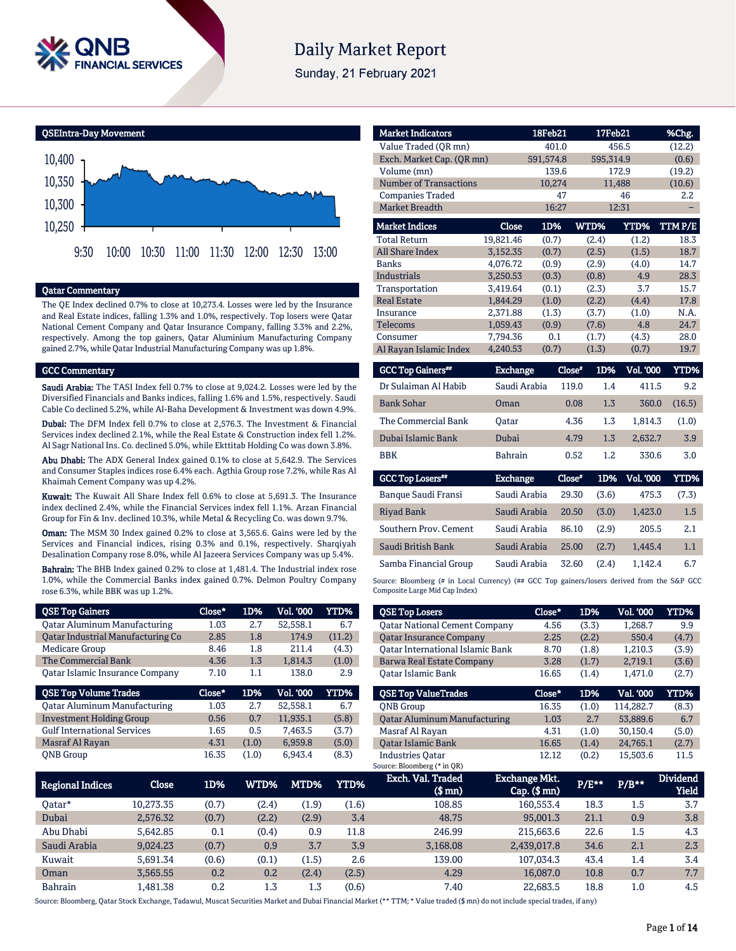

# **Daily Market Report**

Sunday, 21 February 2021



## Qatar Commentary

The QE Index declined 0.7% to close at 10,273.4. Losses were led by the Insurance and Real Estate indices, falling 1.3% and 1.0%, respectively. Top losers were Qatar National Cement Company and Qatar Insurance Company, falling 3.3% and 2.2%, respectively. Among the top gainers, Qatar Aluminium Manufacturing Company gained 2.7%, while Qatar Industrial Manufacturing Company was up 1.8%.

#### GCC Commentary

Saudi Arabia: The TASI Index fell 0.7% to close at 9,024.2. Losses were led by the Diversified Financials and Banks indices, falling 1.6% and 1.5%, respectively. Saudi Cable Co declined 5.2%, while Al-Baha Development & Investment was down 4.9%.

Dubai: The DFM Index fell 0.7% to close at 2,576.3. The Investment & Financial Services index declined 2.1%, while the Real Estate & Construction index fell 1.2%. Al Sagr National Ins. Co. declined 5.0%, while Ekttitab Holding Co was down 3.8%.

Abu Dhabi: The ADX General Index gained 0.1% to close at 5,642.9. The Services and Consumer Staples indices rose 6.4% each. Agthia Group rose 7.2%, while Ras Al Khaimah Cement Company was up 4.2%.

Kuwait: The Kuwait All Share Index fell 0.6% to close at 5,691.3. The Insurance index declined 2.4%, while the Financial Services index fell 1.1%. Arzan Financial Group for Fin & Inv. declined 10.3%, while Metal & Recycling Co. was down 9.7%.

Oman: The MSM 30 Index gained 0.2% to close at 3,565.6. Gains were led by the Services and Financial indices, rising 0.3% and 0.1%, respectively. Sharqiyah Desalination Company rose 8.0%, while Al Jazeera Services Company was up 5.4%.

Bahrain: The BHB Index gained 0.2% to close at 1,481.4. The Industrial index rose 1.0%, while the Commercial Banks index gained 0.7%. Delmon Poultry Company rose 6.3%, while BBK was up 1.2%.

| <b>OSE Top Gainers</b>                 | $Close*$ | 1D%   | Vol. '000        | <b>YTD%</b> |
|----------------------------------------|----------|-------|------------------|-------------|
| <b>Qatar Aluminum Manufacturing</b>    | 1.03     | 2.7   | 52.558.1         | 6.7         |
| Oatar Industrial Manufacturing Co      | 2.85     | 1.8   | 174.9            | (11.2)      |
| <b>Medicare Group</b>                  | 8.46     | 1.8   | 211.4            | (4.3)       |
| <b>The Commercial Bank</b>             | 4.36     | 1.3   | 1.814.3          | (1.0)       |
| <b>Qatar Islamic Insurance Company</b> | 7.10     | 1.1   | 138.0            | 2.9         |
|                                        |          |       |                  |             |
| <b>QSE Top Volume Trades</b>           | Close*   | 1D%   | <b>Vol. '000</b> | <b>YTD%</b> |
| <b>Qatar Aluminum Manufacturing</b>    | 1.03     | 2.7   | 52.558.1         | 6.7         |
| <b>Investment Holding Group</b>        | 0.56     | 0.7   | 11,935.1         | (5.8)       |
| <b>Gulf International Services</b>     | 1.65     | 0.5   | 7.463.5          | (3.7)       |
| Masraf Al Rayan                        | 4.31     | (1.0) | 6.959.8          | (5.0)       |

| <b>Market Indicators</b>      |                           | 18Feb21 |       | 17Feb21 | %Chg.  |
|-------------------------------|---------------------------|---------|-------|---------|--------|
| Value Traded (OR mn)          |                           | 401.0   | 456.5 |         | (12.2) |
|                               | Exch. Market Cap. (OR mn) |         |       |         | (0.6)  |
| Volume (mn)                   | 139.6                     |         | 172.9 | (19.2)  |        |
| <b>Number of Transactions</b> |                           | 10,274  |       | 11,488  | (10.6) |
| <b>Companies Traded</b>       |                           | 47      |       | 46      | 2.2    |
| Market Breadth                |                           | 16:27   |       | 12:31   |        |
| <b>Market Indices</b>         | Close                     | 1D%     | WTD%  | YTD%    | TTMP/E |
| <b>Total Return</b>           | 19,821.46                 | (0.7)   | (2.4) | (1.2)   | 18.3   |
| <b>All Share Index</b>        | 3,152.35                  | (0.7)   | (2.5) | (1.5)   | 18.7   |
| <b>Banks</b>                  | 4.076.72                  | (0.9)   | (2.9) | (4.0)   | 14.7   |
| <b>Industrials</b>            | 3,250.53                  | (0.3)   | (0.8) | 4.9     | 28.3   |
| Transportation                | 3,419.64                  | (0.1)   | (2.3) | 3.7     | 15.7   |
| <b>Real Estate</b>            | 1,844.29                  | (1.0)   | (2.2) | (4.4)   | 17.8   |
| Insurance                     | 2,371.88                  | (1.3)   | (3.7) | (1.0)   | N.A.   |
| <b>Telecoms</b>               | 1,059.43                  | (0.9)   | (7.6) | 4.8     | 24.7   |
| Consumer                      | 7,794.36                  | 0.1     | (1.7) | (4.3)   | 28.0   |
| Al Rayan Islamic Index        | 4,240.53                  | (0.7)   | (1.3) | (0.7)   | 19.7   |

| Exchange,      | Close* |      | <b>Vol. '000</b> | YTD%   |
|----------------|--------|------|------------------|--------|
| Saudi Arabia   | 119.0  | 1.4  | 411.5            | 9.2    |
| Oman           | 0.08   | 1.3  | 360.0            | (16.5) |
| Oatar          | 4.36   | 1.3  | 1.814.3          | (1.0)  |
| Dubai          | 4.79   | 1.3  | 2.632.7          | 3.9    |
| <b>Bahrain</b> | 0.52   | 1.2. | 330.6            | 3.0    |
|                |        |      |                  | 1D%    |

| <b>GCC Top Losers**</b> | <b>Exchange</b> | Close* | 1D%   | <b>Vol. '000</b> | YTD%  |
|-------------------------|-----------------|--------|-------|------------------|-------|
| Banque Saudi Fransi     | Saudi Arabia    | 29.30  | (3.6) | 475.3            | (7.3) |
| Riyad Bank              | Saudi Arabia    | 20.50  | (3.0) | 1,423.0          | 1.5   |
| Southern Prov. Cement   | Saudi Arabia    | 86.10  | (2.9) | 205.5            | 2.1   |
| Saudi British Bank      | Saudi Arabia    | 25.00  | (2.7) | 1.445.4          | 1.1   |
| Samba Financial Group   | Saudi Arabia    | 32.60  | (2.4) | 1.142.4          | 6.7   |

Source: Bloomberg (# in Local Currency) (## GCC Top gainers/losers derived from the S&P GCC Composite Large Mid Cap Index)

| <b>QSE Top Losers</b>                | Close* | 1D%   | <b>Vol. '000</b> | YTD%  |
|--------------------------------------|--------|-------|------------------|-------|
| <b>Oatar National Cement Company</b> | 4.56   | (3.3) | 1.268.7          | 9.9   |
| <b>Oatar Insurance Company</b>       | 2.25   | (2.2) | 550.4            | (4.7) |
| Oatar International Islamic Bank     | 8.70   | (1.8) | 1,210.3          | (3.9) |
| Barwa Real Estate Company            | 3.28   | (1.7) | 2.719.1          | (3.6) |
| Oatar Islamic Bank                   | 16.65  | (1.4) | 1.471.0          | (2.7) |
|                                      |        |       |                  |       |
|                                      |        |       |                  |       |
| <b>OSE Top ValueTrades</b>           | Close* | 1D%   | Val. '000        | YTD%  |
| <b>ONB</b> Group                     | 16.35  | (1.0) | 114,282.7        | (8.3) |
| <b>Qatar Aluminum Manufacturing</b>  | 1.03   | 2.7   | 53.889.6         | 6.7   |
| Masraf Al Rayan                      | 4.31   | (1.0) | 30.150.4         | (5.0) |
| <b>Oatar Islamic Bank</b>            | 16.65  | (1.4) | 24,765.1         | (2.7) |

| Regional Indices | Close     | 1D%   | WTD%' | MTD%  | YTD%  | Exch. Val. Traded<br>$$$ mn $)$ | Exchange Mkt.<br>$Cap.$ $(\$$ mn $)$ | $P/E***$ | $P/B**$ | <b>Dividend</b><br><b>Yield</b> |
|------------------|-----------|-------|-------|-------|-------|---------------------------------|--------------------------------------|----------|---------|---------------------------------|
| Oatar*           | 10.273.35 | (0.7) | (2.4) | (1.9) | (1.6) | 108.85                          | 160,553.4                            | 18.3     | 1.5     | 3.7                             |
| Dubai            | 2.576.32  | (0.7) | (2.2) | (2.9) | 3.4   | 48.75                           | 95,001.3                             | 21.1     | 0.9     | 3.8                             |
| Abu Dhabi        | 5.642.85  | 0.1   | (0.4) | 0.9   | 11.8  | 246.99                          | 215,663.6                            | 22.6     | 1.5     | 4.3                             |
| Saudi Arabia     | 9,024.23  | (0.7) | 0.9   | 3.7   | 3.9   | 3,168.08                        | 2,439,017.8                          | 34.6     | 2.1     | 2.3                             |
| Kuwait           | 5.691.34  | (0.6) | (0.1) | (1.5) | 2.6   | 139.00                          | 107.034.3                            | 43.4     | 1.4     | 3.4                             |
| Oman             | 3,565.55  | 0.2   | 0.2   | (2.4) | (2.5) | 4.29                            | 16,087.0                             | 10.8     | 0.7     | 7.7                             |
| <b>Bahrain</b>   | 1.481.38  | 0.2   | 1.3   | 1.3   | (0.6) | 7.40                            | 22.683.5                             | 18.8     | 1.0     | 4.5                             |

Source: Bloomberg, Qatar Stock Exchange, Tadawul, Muscat Securities Market and Dubai Financial Market (\*\* TTM; \* Value traded (\$ mn) do not include special trades, if any)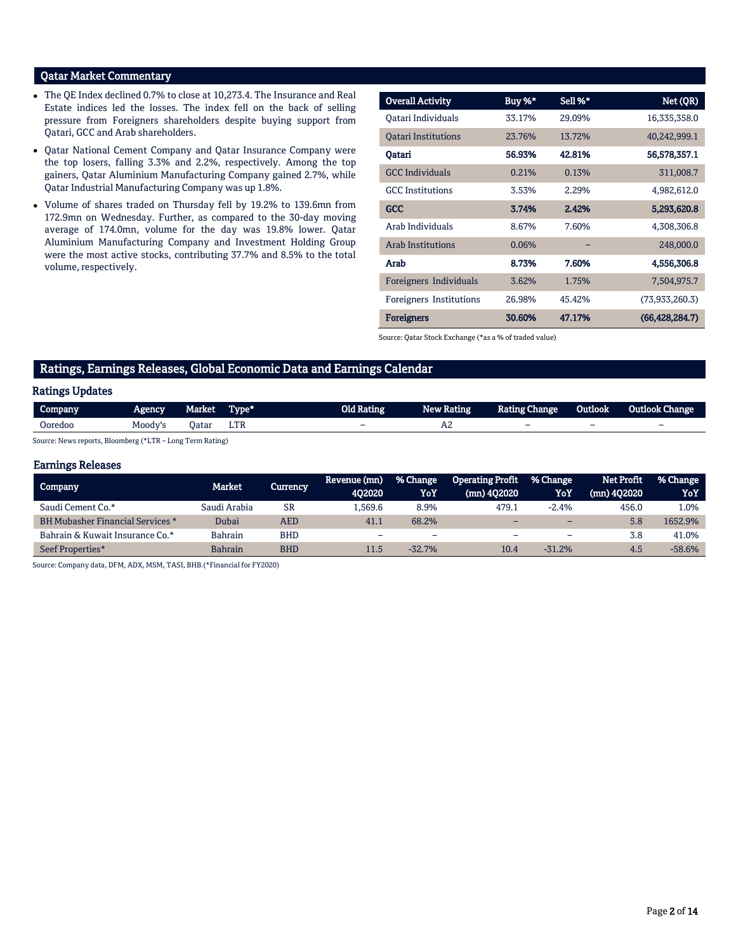## Qatar Market Commentary

- The QE Index declined 0.7% to close at 10,273.4. The Insurance and Real Estate indices led the losses. The index fell on the back of selling pressure from Foreigners shareholders despite buying support from Qatari, GCC and Arab shareholders.
- Qatar National Cement Company and Qatar Insurance Company were the top losers, falling 3.3% and 2.2%, respectively. Among the top gainers, Qatar Aluminium Manufacturing Company gained 2.7%, while Qatar Industrial Manufacturing Company was up 1.8%.
- Volume of shares traded on Thursday fell by 19.2% to 139.6mn from 172.9mn on Wednesday. Further, as compared to the 30-day moving average of 174.0mn, volume for the day was 19.8% lower. Qatar Aluminium Manufacturing Company and Investment Holding Group were the most active stocks, contributing 37.7% and 8.5% to the total volume, respectively.

| <b>Overall Activity</b>    | Buy %* | Sell %* | Net (QR)         |
|----------------------------|--------|---------|------------------|
| Qatari Individuals         | 33.17% | 29.09%  | 16,335,358.0     |
| <b>Oatari Institutions</b> | 23.76% | 13.72%  | 40,242,999.1     |
| Oatari                     | 56.93% | 42.81%  | 56,578,357.1     |
| <b>GCC Individuals</b>     | 0.21%  | 0.13%   | 311,008.7        |
| <b>GCC Institutions</b>    | 3.53%  | 2.29%   | 4,982,612.0      |
| <b>GCC</b>                 | 3.74%  | 2.42%   | 5,293,620.8      |
| Arab Individuals           | 8.67%  | 7.60%   | 4,308,306.8      |
| <b>Arab Institutions</b>   | 0.06%  |         | 248,000.0        |
| Arab                       | 8.73%  | 7.60%   | 4,556,306.8      |
| Foreigners Individuals     | 3.62%  | 1.75%   | 7,504,975.7      |
| Foreigners Institutions    | 26.98% | 45.42%  | (73,933,260.3)   |
| <b>Foreigners</b>          | 30.60% | 47.17%  | (66, 428, 284.7) |

Source: Qatar Stock Exchange (\*as a % of traded value)

## Ratings, Earnings Releases, Global Economic Data and Earnings Calendar

## Ratings Updates

| Company | Agency  | Market | Type* | <b>Old Rating</b>        | New Rating | <b>Rating Change</b>     | <b>Outlook</b>           | <b>Outlook Change</b>    |
|---------|---------|--------|-------|--------------------------|------------|--------------------------|--------------------------|--------------------------|
| Ooredoo | Moody's | Jatai  |       | $\overline{\phantom{0}}$ | A۷         | $\overline{\phantom{0}}$ | $\overline{\phantom{0}}$ | $\overline{\phantom{0}}$ |

Source: News reports, Bloomberg (\*LTR – Long Term Rating)

#### Earnings Releases

| Company                                 | Market         | Currencv   | Revenue (mn)<br>402020   | % Change<br>YoY          | <b>Operating Profit</b><br>$(mn)$ 402020 | % Change<br>YoY | <b>Net Profit</b><br>$(mn)$ 402020 | % Change<br>YoY |
|-----------------------------------------|----------------|------------|--------------------------|--------------------------|------------------------------------------|-----------------|------------------------------------|-----------------|
| Saudi Cement Co.*                       | Saudi Arabia   | <b>SR</b>  | .569.6                   | 8.9%                     | 479.1                                    | $-2.4%$         | 456.0                              | 0%،             |
| <b>BH Mubasher Financial Services *</b> | Dubai          | AED        | 41.1                     | 68.2%                    |                                          | -               | 5.8                                | 1652.9%         |
| Bahrain & Kuwait Insurance Co.*         | Bahrain        | BHD        | $\overline{\phantom{0}}$ | $\overline{\phantom{0}}$ | $\overline{\phantom{0}}$                 | -               | 3.8                                | 41.0%           |
| Seef Properties*                        | <b>Bahrain</b> | <b>BHD</b> | 11.5                     | $-32.7%$                 | 10.4                                     | $-31.2%$        | 4.5                                | $-58.6%$        |

Source: Company data, DFM, ADX, MSM, TASI, BHB.(\*Financial for FY2020)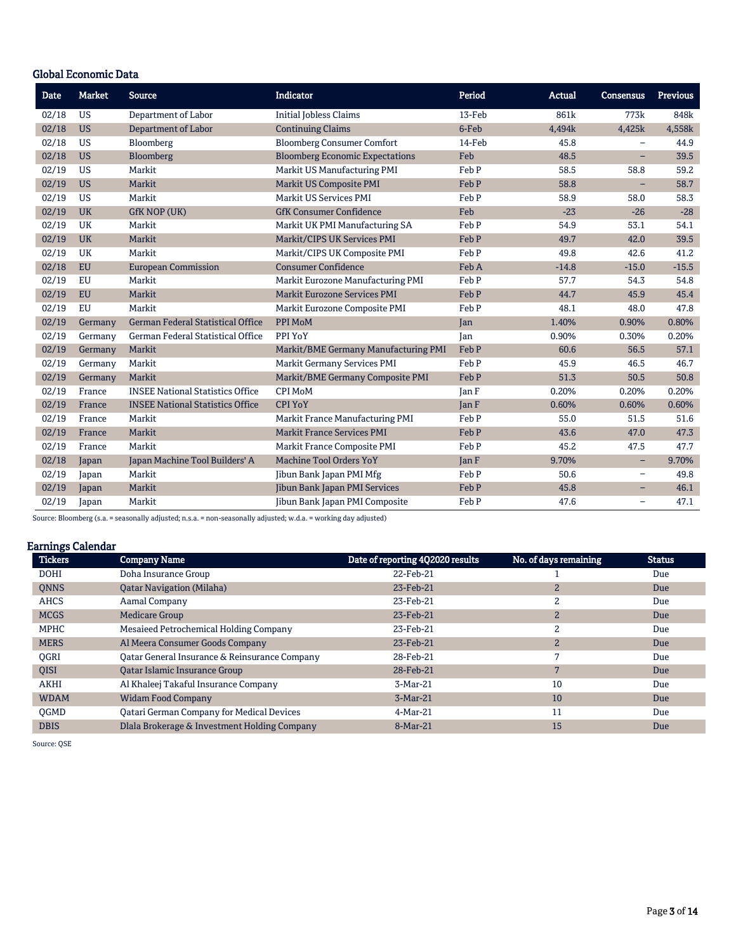## Global Economic Data

| <b>Date</b> | <b>Market</b> | <b>Source</b>                           | <b>Indicator</b>                       | Period       | <b>Actual</b> | <b>Consensus</b>         | <b>Previous</b> |
|-------------|---------------|-----------------------------------------|----------------------------------------|--------------|---------------|--------------------------|-----------------|
| 02/18       | US            | Department of Labor                     | <b>Initial Jobless Claims</b>          | 13-Feb       | 861k          | 773k                     | 848k            |
| 02/18       | <b>US</b>     | <b>Department of Labor</b>              | <b>Continuing Claims</b>               | 6-Feb        | 4,494k        | 4,425k                   | 4,558k          |
| 02/18       | US            | Bloomberg                               | <b>Bloomberg Consumer Comfort</b>      | 14-Feb       | 45.8          | $\overline{\phantom{m}}$ | 44.9            |
| 02/18       | <b>US</b>     | Bloomberg                               | <b>Bloomberg Economic Expectations</b> | Feb          | 48.5          | $\qquad \qquad -$        | 39.5            |
| 02/19       | US            | Markit                                  | Markit US Manufacturing PMI            | Feb P        | 58.5          | 58.8                     | 59.2            |
| 02/19       | <b>US</b>     | Markit                                  | <b>Markit US Composite PMI</b>         | Feb P        | 58.8          | $\overline{\phantom{0}}$ | 58.7            |
| 02/19       | US            | Markit                                  | Markit US Services PMI                 | Feb P        | 58.9          | 58.0                     | 58.3            |
| 02/19       | <b>UK</b>     | <b>GfK NOP (UK)</b>                     | <b>GfK Consumer Confidence</b>         | Feb          | $-23$         | $-26$                    | $-28$           |
| 02/19       | UK            | Markit                                  | Markit UK PMI Manufacturing SA         | Feb P        | 54.9          | 53.1                     | 54.1            |
| 02/19       | <b>UK</b>     | Markit                                  | Markit/CIPS UK Services PMI            | Feb P        | 49.7          | 42.0                     | 39.5            |
| 02/19       | UK            | Markit                                  | Markit/CIPS UK Composite PMI           | Feb P        | 49.8          | 42.6                     | 41.2            |
| 02/18       | <b>EU</b>     | <b>European Commission</b>              | <b>Consumer Confidence</b>             | Feb A        | $-14.8$       | $-15.0$                  | $-15.5$         |
| 02/19       | <b>EU</b>     | Markit                                  | Markit Eurozone Manufacturing PMI      | Feb P        | 57.7          | 54.3                     | 54.8            |
| 02/19       | <b>EU</b>     | Markit                                  | <b>Markit Eurozone Services PMI</b>    | Feb P        | 44.7          | 45.9                     | 45.4            |
| 02/19       | <b>EU</b>     | Markit                                  | Markit Eurozone Composite PMI          | Feb P        | 48.1          | 48.0                     | 47.8            |
| 02/19       | Germany       | German Federal Statistical Office       | PPI MoM                                | Jan          | 1.40%         | 0.90%                    | 0.80%           |
| 02/19       | Germany       | German Federal Statistical Office       | PPI YoY                                | Jan          | 0.90%         | 0.30%                    | 0.20%           |
| 02/19       | Germany       | Markit                                  | Markit/BME Germany Manufacturing PMI   | Feb P        | 60.6          | 56.5                     | 57.1            |
| 02/19       | Germany       | Markit                                  | Markit Germany Services PMI            | Feb P        | 45.9          | 46.5                     | 46.7            |
| 02/19       | Germany       | Markit                                  | Markit/BME Germany Composite PMI       | Feb P        | 51.3          | 50.5                     | 50.8            |
| 02/19       | France        | <b>INSEE National Statistics Office</b> | CPI MoM                                | <b>Jan F</b> | 0.20%         | 0.20%                    | 0.20%           |
| 02/19       | France        | <b>INSEE National Statistics Office</b> | <b>CPI YoY</b>                         | <b>Jan F</b> | 0.60%         | 0.60%                    | 0.60%           |
| 02/19       | France        | Markit                                  | Markit France Manufacturing PMI        | Feb P        | 55.0          | 51.5                     | 51.6            |
| 02/19       | France        | Markit                                  | <b>Markit France Services PMI</b>      | Feb P        | 43.6          | 47.0                     | 47.3            |
| 02/19       | France        | Markit                                  | Markit France Composite PMI            | Feb P        | 45.2          | 47.5                     | 47.7            |
| 02/18       | Japan         | Japan Machine Tool Builders' A          | Machine Tool Orders YoY                | Jan F        | 9.70%         | -                        | 9.70%           |
| 02/19       | Japan         | Markit                                  | Jibun Bank Japan PMI Mfg               | Feb P        | 50.6          | $\overline{\phantom{0}}$ | 49.8            |
| 02/19       | Japan         | Markit                                  | Jibun Bank Japan PMI Services          | Feb P        | 45.8          | -                        | 46.1            |
| 02/19       | Japan         | Markit                                  | Jibun Bank Japan PMI Composite         | Feb P        | 47.6          | $\qquad \qquad -$        | 47.1            |

Source: Bloomberg (s.a. = seasonally adjusted; n.s.a. = non-seasonally adjusted; w.d.a. = working day adjusted)

## Earnings Calendar

| <b>Tickers</b> | <b>Company Name</b>                              | Date of reporting 4Q2020 results | No. of days remaining | <b>Status</b> |
|----------------|--------------------------------------------------|----------------------------------|-----------------------|---------------|
| <b>DOHI</b>    | Doha Insurance Group                             | 22-Feb-21                        |                       | Due           |
| <b>ONNS</b>    | <b>Qatar Navigation (Milaha)</b>                 | 23-Feb-21                        | $\overline{2}$        | Due           |
| <b>AHCS</b>    | Aamal Company                                    | 23-Feb-21                        | 2                     | Due           |
| <b>MCGS</b>    | <b>Medicare Group</b>                            | 23-Feb-21                        | $\overline{2}$        | Due           |
| <b>MPHC</b>    | Mesaieed Petrochemical Holding Company           | 23-Feb-21                        | 2                     | Due           |
| <b>MERS</b>    | Al Meera Consumer Goods Company                  | 23-Feb-21                        | $\overline{2}$        | Due           |
| <b>OGRI</b>    | Oatar General Insurance & Reinsurance Company    | 28-Feb-21                        | п,                    | Due           |
| QISI           | Qatar Islamic Insurance Group                    | 28-Feb-21                        | 7                     | Due           |
| <b>AKHI</b>    | Al Khaleej Takaful Insurance Company             | 3-Mar-21                         | 10                    | Due           |
| <b>WDAM</b>    | <b>Widam Food Company</b>                        | 3-Mar-21                         | 10                    | Due           |
| <b>OGMD</b>    | <b>Qatari German Company for Medical Devices</b> | 4-Mar-21                         | 11                    | Due           |
| <b>DBIS</b>    | Dlala Brokerage & Investment Holding Company     | 8-Mar-21                         | 15                    | Due           |

Source: QSE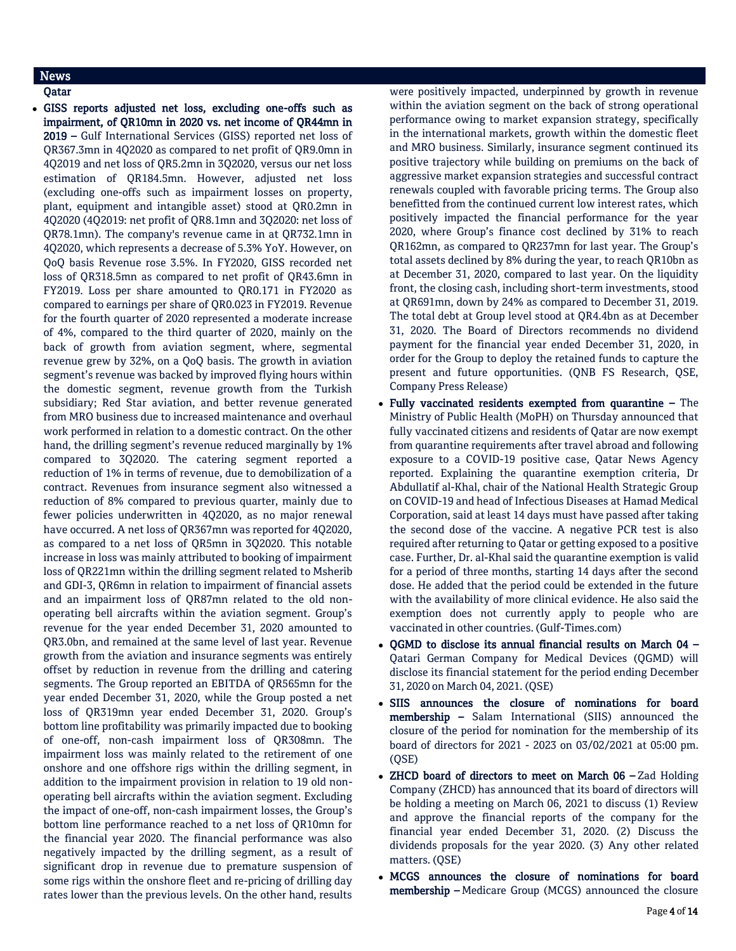## News

Qatar

 GISS reports adjusted net loss, excluding one-offs such as impairment, of QR10mn in 2020 vs. net income of QR44mn in 2019 – Gulf International Services (GISS) reported net loss of QR367.3mn in 4Q2020 as compared to net profit of QR9.0mn in 4Q2019 and net loss of QR5.2mn in 3Q2020, versus our net loss estimation of QR184.5mn. However, adjusted net loss (excluding one-offs such as impairment losses on property, plant, equipment and intangible asset) stood at QR0.2mn in 4Q2020 (4Q2019: net profit of QR8.1mn and 3Q2020: net loss of QR78.1mn). The company's revenue came in at QR732.1mn in 4Q2020, which represents a decrease of 5.3% YoY. However, on QoQ basis Revenue rose 3.5%. In FY2020, GISS recorded net loss of QR318.5mn as compared to net profit of QR43.6mn in FY2019. Loss per share amounted to QR0.171 in FY2020 as compared to earnings per share of QR0.023 in FY2019. Revenue for the fourth quarter of 2020 represented a moderate increase of 4%, compared to the third quarter of 2020, mainly on the back of growth from aviation segment, where, segmental revenue grew by 32%, on a QoQ basis. The growth in aviation segment's revenue was backed by improved flying hours within the domestic segment, revenue growth from the Turkish subsidiary; Red Star aviation, and better revenue generated from MRO business due to increased maintenance and overhaul work performed in relation to a domestic contract. On the other hand, the drilling segment's revenue reduced marginally by 1% compared to 3Q2020. The catering segment reported a reduction of 1% in terms of revenue, due to demobilization of a contract. Revenues from insurance segment also witnessed a reduction of 8% compared to previous quarter, mainly due to fewer policies underwritten in 4Q2020, as no major renewal have occurred. A net loss of QR367mn was reported for 4Q2020, as compared to a net loss of QR5mn in 3Q2020. This notable increase in loss was mainly attributed to booking of impairment loss of QR221mn within the drilling segment related to Msherib and GDI-3, QR6mn in relation to impairment of financial assets and an impairment loss of QR87mn related to the old nonoperating bell aircrafts within the aviation segment. Group's revenue for the year ended December 31, 2020 amounted to QR3.0bn, and remained at the same level of last year. Revenue growth from the aviation and insurance segments was entirely offset by reduction in revenue from the drilling and catering segments. The Group reported an EBITDA of QR565mn for the year ended December 31, 2020, while the Group posted a net loss of QR319mn year ended December 31, 2020. Group's bottom line profitability was primarily impacted due to booking of one-off, non-cash impairment loss of QR308mn. The impairment loss was mainly related to the retirement of one onshore and one offshore rigs within the drilling segment, in addition to the impairment provision in relation to 19 old nonoperating bell aircrafts within the aviation segment. Excluding the impact of one-off, non-cash impairment losses, the Group's bottom line performance reached to a net loss of QR10mn for the financial year 2020. The financial performance was also negatively impacted by the drilling segment, as a result of significant drop in revenue due to premature suspension of some rigs within the onshore fleet and re-pricing of drilling day rates lower than the previous levels. On the other hand, results

were positively impacted, underpinned by growth in revenue within the aviation segment on the back of strong operational performance owing to market expansion strategy, specifically in the international markets, growth within the domestic fleet and MRO business. Similarly, insurance segment continued its positive trajectory while building on premiums on the back of aggressive market expansion strategies and successful contract renewals coupled with favorable pricing terms. The Group also benefitted from the continued current low interest rates, which positively impacted the financial performance for the year 2020, where Group's finance cost declined by 31% to reach QR162mn, as compared to QR237mn for last year. The Group's total assets declined by 8% during the year, to reach QR10bn as at December 31, 2020, compared to last year. On the liquidity front, the closing cash, including short-term investments, stood at QR691mn, down by 24% as compared to December 31, 2019. The total debt at Group level stood at QR4.4bn as at December 31, 2020. The Board of Directors recommends no dividend payment for the financial year ended December 31, 2020, in order for the Group to deploy the retained funds to capture the present and future opportunities. (QNB FS Research, QSE, Company Press Release)

- Fully vaccinated residents exempted from quarantine The Ministry of Public Health (MoPH) on Thursday announced that fully vaccinated citizens and residents of Qatar are now exempt from quarantine requirements after travel abroad and following exposure to a COVID-19 positive case, Qatar News Agency reported. Explaining the quarantine exemption criteria, Dr Abdullatif al-Khal, chair of the National Health Strategic Group on COVID-19 and head of Infectious Diseases at Hamad Medical Corporation, said at least 14 days must have passed after taking the second dose of the vaccine. A negative PCR test is also required after returning to Qatar or getting exposed to a positive case. Further, Dr. al-Khal said the quarantine exemption is valid for a period of three months, starting 14 days after the second dose. He added that the period could be extended in the future with the availability of more clinical evidence. He also said the exemption does not currently apply to people who are vaccinated in other countries. (Gulf-Times.com)
- QGMD to disclose its annual financial results on March 04 Qatari German Company for Medical Devices (QGMD) will disclose its financial statement for the period ending December 31, 2020 on March 04, 2021. (QSE)
- SIIS announces the closure of nominations for board membership – Salam International (SIIS) announced the closure of the period for nomination for the membership of its board of directors for 2021 - 2023 on 03/02/2021 at 05:00 pm. (QSE)
- ZHCD board of directors to meet on March 06 Zad Holding Company (ZHCD) has announced that its board of directors will be holding a meeting on March 06, 2021 to discuss (1) Review and approve the financial reports of the company for the financial year ended December 31, 2020. (2) Discuss the dividends proposals for the year 2020. (3) Any other related matters. (QSE)
- MCGS announces the closure of nominations for board membership – Medicare Group (MCGS) announced the closure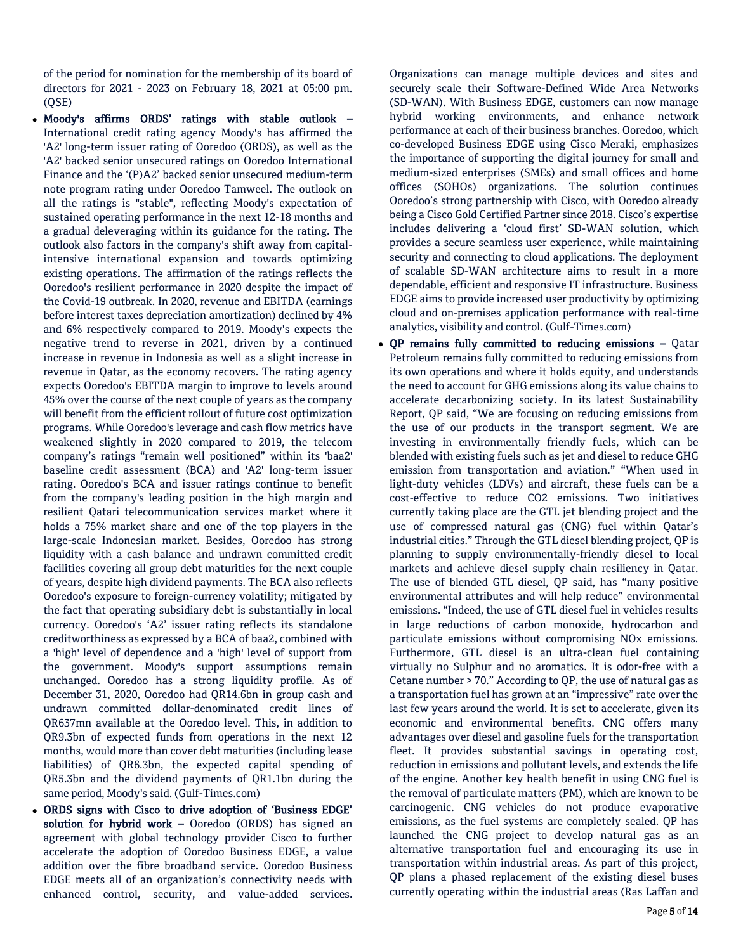of the period for nomination for the membership of its board of directors for 2021 - 2023 on February 18, 2021 at 05:00 pm. (QSE)

- Moody's affirms ORDS' ratings with stable outlook International credit rating agency Moody's has affirmed the 'A2' long-term issuer rating of Ooredoo (ORDS), as well as the 'A2' backed senior unsecured ratings on Ooredoo International Finance and the '(P)A2' backed senior unsecured medium-term note program rating under Ooredoo Tamweel. The outlook on all the ratings is "stable", reflecting Moody's expectation of sustained operating performance in the next 12-18 months and a gradual deleveraging within its guidance for the rating. The outlook also factors in the company's shift away from capitalintensive international expansion and towards optimizing existing operations. The affirmation of the ratings reflects the Ooredoo's resilient performance in 2020 despite the impact of the Covid-19 outbreak. In 2020, revenue and EBITDA (earnings before interest taxes depreciation amortization) declined by 4% and 6% respectively compared to 2019. Moody's expects the negative trend to reverse in 2021, driven by a continued increase in revenue in Indonesia as well as a slight increase in revenue in Qatar, as the economy recovers. The rating agency expects Ooredoo's EBITDA margin to improve to levels around 45% over the course of the next couple of years as the company will benefit from the efficient rollout of future cost optimization programs. While Ooredoo's leverage and cash flow metrics have weakened slightly in 2020 compared to 2019, the telecom company's ratings "remain well positioned" within its 'baa2' baseline credit assessment (BCA) and 'A2' long-term issuer rating. Ooredoo's BCA and issuer ratings continue to benefit from the company's leading position in the high margin and resilient Qatari telecommunication services market where it holds a 75% market share and one of the top players in the large-scale Indonesian market. Besides, Ooredoo has strong liquidity with a cash balance and undrawn committed credit facilities covering all group debt maturities for the next couple of years, despite high dividend payments. The BCA also reflects Ooredoo's exposure to foreign-currency volatility; mitigated by the fact that operating subsidiary debt is substantially in local currency. Ooredoo's 'A2' issuer rating reflects its standalone creditworthiness as expressed by a BCA of baa2, combined with a 'high' level of dependence and a 'high' level of support from the government. Moody's support assumptions remain unchanged. Ooredoo has a strong liquidity profile. As of December 31, 2020, Ooredoo had QR14.6bn in group cash and undrawn committed dollar-denominated credit lines of QR637mn available at the Ooredoo level. This, in addition to QR9.3bn of expected funds from operations in the next 12 months, would more than cover debt maturities (including lease liabilities) of QR6.3bn, the expected capital spending of QR5.3bn and the dividend payments of QR1.1bn during the same period, Moody's said. (Gulf-Times.com)
- ORDS signs with Cisco to drive adoption of 'Business EDGE' solution for hybrid work  $-$  Ooredoo (ORDS) has signed an agreement with global technology provider Cisco to further accelerate the adoption of Ooredoo Business EDGE, a value addition over the fibre broadband service. Ooredoo Business EDGE meets all of an organization's connectivity needs with enhanced control, security, and value-added services.

Organizations can manage multiple devices and sites and securely scale their Software-Defined Wide Area Networks (SD-WAN). With Business EDGE, customers can now manage hybrid working environments, and enhance network performance at each of their business branches. Ooredoo, which co-developed Business EDGE using Cisco Meraki, emphasizes the importance of supporting the digital journey for small and medium-sized enterprises (SMEs) and small offices and home offices (SOHOs) organizations. The solution continues Ooredoo's strong partnership with Cisco, with Ooredoo already being a Cisco Gold Certified Partner since 2018. Cisco's expertise includes delivering a 'cloud first' SD-WAN solution, which provides a secure seamless user experience, while maintaining security and connecting to cloud applications. The deployment of scalable SD-WAN architecture aims to result in a more dependable, efficient and responsive IT infrastructure. Business EDGE aims to provide increased user productivity by optimizing cloud and on-premises application performance with real-time analytics, visibility and control. (Gulf-Times.com)

 QP remains fully committed to reducing emissions – Qatar Petroleum remains fully committed to reducing emissions from its own operations and where it holds equity, and understands the need to account for GHG emissions along its value chains to accelerate decarbonizing society. In its latest Sustainability Report, QP said, "We are focusing on reducing emissions from the use of our products in the transport segment. We are investing in environmentally friendly fuels, which can be blended with existing fuels such as jet and diesel to reduce GHG emission from transportation and aviation." "When used in light-duty vehicles (LDVs) and aircraft, these fuels can be a cost-effective to reduce CO2 emissions. Two initiatives currently taking place are the GTL jet blending project and the use of compressed natural gas (CNG) fuel within Qatar's industrial cities." Through the GTL diesel blending project, QP is planning to supply environmentally-friendly diesel to local markets and achieve diesel supply chain resiliency in Qatar. The use of blended GTL diesel, QP said, has "many positive environmental attributes and will help reduce" environmental emissions. "Indeed, the use of GTL diesel fuel in vehicles results in large reductions of carbon monoxide, hydrocarbon and particulate emissions without compromising NOx emissions. Furthermore, GTL diesel is an ultra-clean fuel containing virtually no Sulphur and no aromatics. It is odor-free with a Cetane number > 70." According to QP, the use of natural gas as a transportation fuel has grown at an "impressive" rate over the last few years around the world. It is set to accelerate, given its economic and environmental benefits. CNG offers many advantages over diesel and gasoline fuels for the transportation fleet. It provides substantial savings in operating cost, reduction in emissions and pollutant levels, and extends the life of the engine. Another key health benefit in using CNG fuel is the removal of particulate matters (PM), which are known to be carcinogenic. CNG vehicles do not produce evaporative emissions, as the fuel systems are completely sealed. QP has launched the CNG project to develop natural gas as an alternative transportation fuel and encouraging its use in transportation within industrial areas. As part of this project, QP plans a phased replacement of the existing diesel buses currently operating within the industrial areas (Ras Laffan and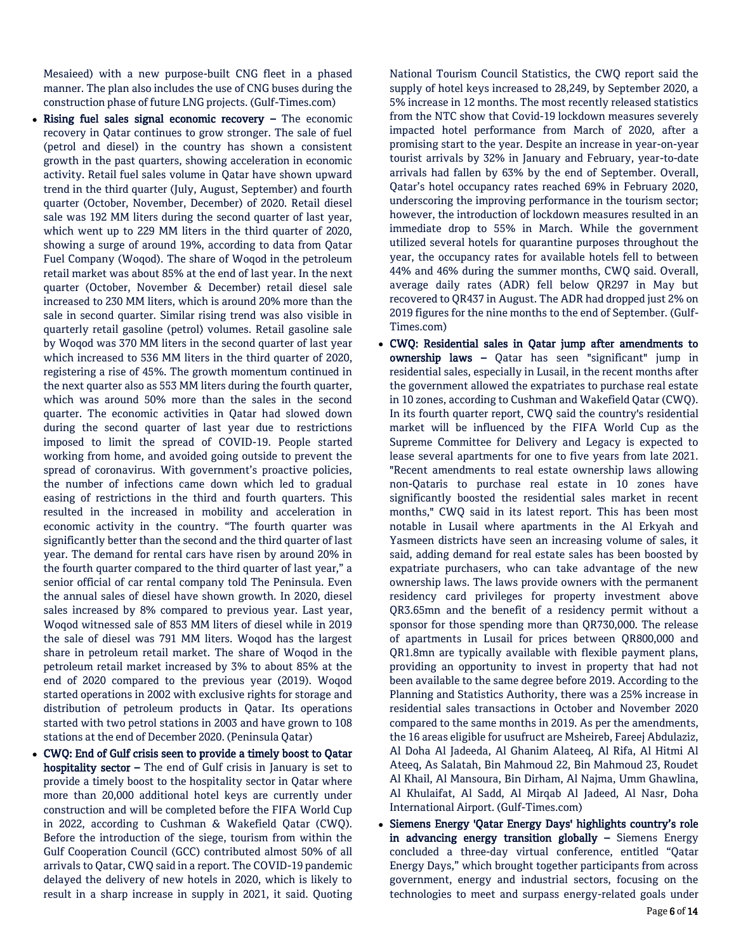Mesaieed) with a new purpose-built CNG fleet in a phased manner. The plan also includes the use of CNG buses during the construction phase of future LNG projects. (Gulf-Times.com)

- Rising fuel sales signal economic recovery The economic recovery in Qatar continues to grow stronger. The sale of fuel (petrol and diesel) in the country has shown a consistent growth in the past quarters, showing acceleration in economic activity. Retail fuel sales volume in Qatar have shown upward trend in the third quarter (July, August, September) and fourth quarter (October, November, December) of 2020. Retail diesel sale was 192 MM liters during the second quarter of last year, which went up to 229 MM liters in the third quarter of 2020, showing a surge of around 19%, according to data from Qatar Fuel Company (Woqod). The share of Woqod in the petroleum retail market was about 85% at the end of last year. In the next quarter (October, November & December) retail diesel sale increased to 230 MM liters, which is around 20% more than the sale in second quarter. Similar rising trend was also visible in quarterly retail gasoline (petrol) volumes. Retail gasoline sale by Woqod was 370 MM liters in the second quarter of last year which increased to 536 MM liters in the third quarter of 2020, registering a rise of 45%. The growth momentum continued in the next quarter also as 553 MM liters during the fourth quarter, which was around 50% more than the sales in the second quarter. The economic activities in Qatar had slowed down during the second quarter of last year due to restrictions imposed to limit the spread of COVID-19. People started working from home, and avoided going outside to prevent the spread of coronavirus. With government's proactive policies, the number of infections came down which led to gradual easing of restrictions in the third and fourth quarters. This resulted in the increased in mobility and acceleration in economic activity in the country. "The fourth quarter was significantly better than the second and the third quarter of last year. The demand for rental cars have risen by around 20% in the fourth quarter compared to the third quarter of last year," a senior official of car rental company told The Peninsula. Even the annual sales of diesel have shown growth. In 2020, diesel sales increased by 8% compared to previous year. Last year, Woqod witnessed sale of 853 MM liters of diesel while in 2019 the sale of diesel was 791 MM liters. Woqod has the largest share in petroleum retail market. The share of Woqod in the petroleum retail market increased by 3% to about 85% at the end of 2020 compared to the previous year (2019). Woqod started operations in 2002 with exclusive rights for storage and distribution of petroleum products in Qatar. Its operations started with two petrol stations in 2003 and have grown to 108 stations at the end of December 2020. (Peninsula Qatar)
- CWQ: End of Gulf crisis seen to provide a timely boost to Qatar hospitality sector – The end of Gulf crisis in January is set to provide a timely boost to the hospitality sector in Qatar where more than 20,000 additional hotel keys are currently under construction and will be completed before the FIFA World Cup in 2022, according to Cushman & Wakefield Qatar (CWQ). Before the introduction of the siege, tourism from within the Gulf Cooperation Council (GCC) contributed almost 50% of all arrivals to Qatar, CWQ said in a report. The COVID-19 pandemic delayed the delivery of new hotels in 2020, which is likely to result in a sharp increase in supply in 2021, it said. Quoting

National Tourism Council Statistics, the CWQ report said the supply of hotel keys increased to 28,249, by September 2020, a 5% increase in 12 months. The most recently released statistics from the NTC show that Covid-19 lockdown measures severely impacted hotel performance from March of 2020, after a promising start to the year. Despite an increase in year-on-year tourist arrivals by 32% in January and February, year-to-date arrivals had fallen by 63% by the end of September. Overall, Qatar's hotel occupancy rates reached 69% in February 2020, underscoring the improving performance in the tourism sector; however, the introduction of lockdown measures resulted in an immediate drop to 55% in March. While the government utilized several hotels for quarantine purposes throughout the year, the occupancy rates for available hotels fell to between 44% and 46% during the summer months, CWQ said. Overall, average daily rates (ADR) fell below QR297 in May but recovered to QR437 in August. The ADR had dropped just 2% on 2019 figures for the nine months to the end of September. (Gulf-Times.com)

- CWQ: Residential sales in Qatar jump after amendments to ownership laws – Qatar has seen "significant" jump in residential sales, especially in Lusail, in the recent months after the government allowed the expatriates to purchase real estate in 10 zones, according to Cushman and Wakefield Qatar (CWQ). In its fourth quarter report, CWQ said the country's residential market will be influenced by the FIFA World Cup as the Supreme Committee for Delivery and Legacy is expected to lease several apartments for one to five years from late 2021. "Recent amendments to real estate ownership laws allowing non-Qataris to purchase real estate in 10 zones have significantly boosted the residential sales market in recent months," CWQ said in its latest report. This has been most notable in Lusail where apartments in the Al Erkyah and Yasmeen districts have seen an increasing volume of sales, it said, adding demand for real estate sales has been boosted by expatriate purchasers, who can take advantage of the new ownership laws. The laws provide owners with the permanent residency card privileges for property investment above QR3.65mn and the benefit of a residency permit without a sponsor for those spending more than QR730,000. The release of apartments in Lusail for prices between QR800,000 and QR1.8mn are typically available with flexible payment plans, providing an opportunity to invest in property that had not been available to the same degree before 2019. According to the Planning and Statistics Authority, there was a 25% increase in residential sales transactions in October and November 2020 compared to the same months in 2019. As per the amendments, the 16 areas eligible for usufruct are Msheireb, Fareej Abdulaziz, Al Doha Al Jadeeda, Al Ghanim Alateeq, Al Rifa, Al Hitmi Al Ateeq, As Salatah, Bin Mahmoud 22, Bin Mahmoud 23, Roudet Al Khail, Al Mansoura, Bin Dirham, Al Najma, Umm Ghawlina, Al Khulaifat, Al Sadd, Al Mirqab Al Jadeed, Al Nasr, Doha International Airport. (Gulf-Times.com)
- Siemens Energy 'Qatar Energy Days' highlights country's role in advancing energy transition globally - Siemens Energy concluded a three-day virtual conference, entitled "Qatar Energy Days," which brought together participants from across government, energy and industrial sectors, focusing on the technologies to meet and surpass energy-related goals under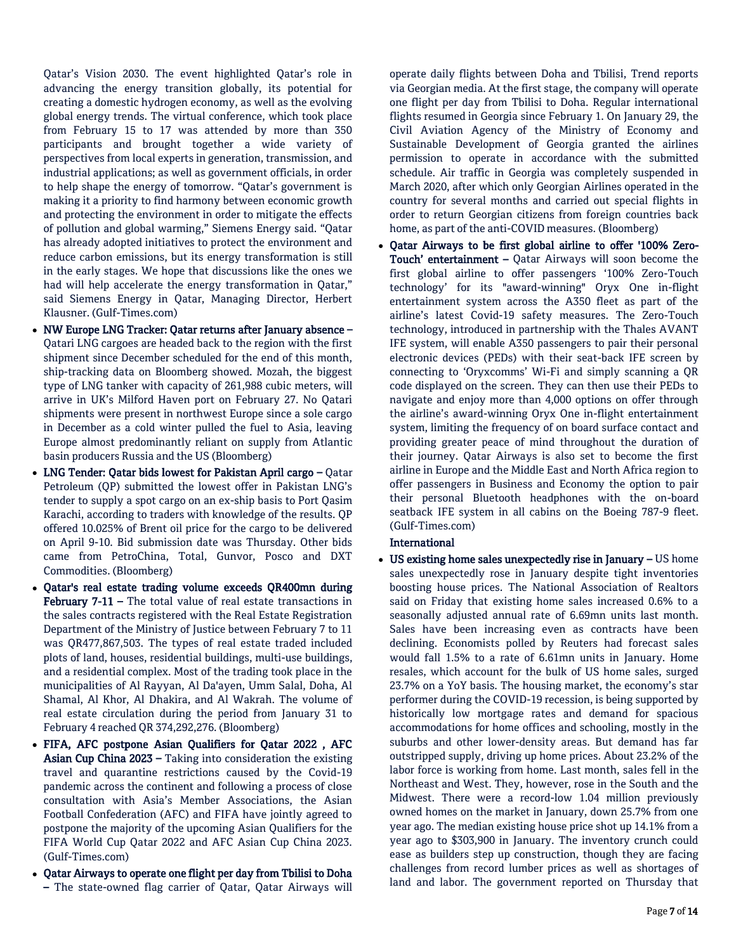Qatar's Vision 2030. The event highlighted Qatar's role in advancing the energy transition globally, its potential for creating a domestic hydrogen economy, as well as the evolving global energy trends. The virtual conference, which took place from February 15 to 17 was attended by more than 350 participants and brought together a wide variety of perspectives from local experts in generation, transmission, and industrial applications; as well as government officials, in order to help shape the energy of tomorrow. "Qatar's government is making it a priority to find harmony between economic growth and protecting the environment in order to mitigate the effects of pollution and global warming," Siemens Energy said. "Qatar has already adopted initiatives to protect the environment and reduce carbon emissions, but its energy transformation is still in the early stages. We hope that discussions like the ones we had will help accelerate the energy transformation in Qatar," said Siemens Energy in Qatar, Managing Director, Herbert Klausner. (Gulf-Times.com)

- NW Europe LNG Tracker: Qatar returns after January absence Qatari LNG cargoes are headed back to the region with the first shipment since December scheduled for the end of this month, ship-tracking data on Bloomberg showed. Mozah, the biggest type of LNG tanker with capacity of 261,988 cubic meters, will arrive in UK's Milford Haven port on February 27. No Qatari shipments were present in northwest Europe since a sole cargo in December as a cold winter pulled the fuel to Asia, leaving Europe almost predominantly reliant on supply from Atlantic basin producers Russia and the US (Bloomberg)
- LNG Tender: Qatar bids lowest for Pakistan April cargo Qatar Petroleum (QP) submitted the lowest offer in Pakistan LNG's tender to supply a spot cargo on an ex-ship basis to Port Qasim Karachi, according to traders with knowledge of the results. QP offered 10.025% of Brent oil price for the cargo to be delivered on April 9-10. Bid submission date was Thursday. Other bids came from PetroChina, Total, Gunvor, Posco and DXT Commodities. (Bloomberg)
- Qatar's real estate trading volume exceeds QR400mn during February 7-11 – The total value of real estate transactions in the sales contracts registered with the Real Estate Registration Department of the Ministry of Justice between February 7 to 11 was QR477,867,503. The types of real estate traded included plots of land, houses, residential buildings, multi-use buildings, and a residential complex. Most of the trading took place in the municipalities of Al Rayyan, Al Da'ayen, Umm Salal, Doha, Al Shamal, Al Khor, Al Dhakira, and Al Wakrah. The volume of real estate circulation during the period from January 31 to February 4 reached QR 374,292,276. (Bloomberg)
- FIFA, AFC postpone Asian Qualifiers for Qatar 2022 , AFC Asian Cup China 2023 – Taking into consideration the existing travel and quarantine restrictions caused by the Covid-19 pandemic across the continent and following a process of close consultation with Asia's Member Associations, the Asian Football Confederation (AFC) and FIFA have jointly agreed to postpone the majority of the upcoming Asian Qualifiers for the FIFA World Cup Qatar 2022 and AFC Asian Cup China 2023. (Gulf-Times.com)
- Qatar Airways to operate one flight per day from Tbilisi to Doha – The state-owned flag carrier of Qatar, Qatar Airways will

operate daily flights between Doha and Tbilisi, Trend reports via Georgian media. At the first stage, the company will operate one flight per day from Tbilisi to Doha. Regular international flights resumed in Georgia since February 1. On January 29, the Civil Aviation Agency of the Ministry of Economy and Sustainable Development of Georgia granted the airlines permission to operate in accordance with the submitted schedule. Air traffic in Georgia was completely suspended in March 2020, after which only Georgian Airlines operated in the country for several months and carried out special flights in order to return Georgian citizens from foreign countries back home, as part of the anti-COVID measures. (Bloomberg)

 Qatar Airways to be first global airline to offer '100% Zero-Touch' entertainment – Qatar Airways will soon become the first global airline to offer passengers '100% Zero-Touch technology' for its "award-winning" Oryx One in-flight entertainment system across the A350 fleet as part of the airline's latest Covid-19 safety measures. The Zero-Touch technology, introduced in partnership with the Thales AVANT IFE system, will enable A350 passengers to pair their personal electronic devices (PEDs) with their seat-back IFE screen by connecting to 'Oryxcomms' Wi-Fi and simply scanning a QR code displayed on the screen. They can then use their PEDs to navigate and enjoy more than 4,000 options on offer through the airline's award-winning Oryx One in-flight entertainment system, limiting the frequency of on board surface contact and providing greater peace of mind throughout the duration of their journey. Qatar Airways is also set to become the first airline in Europe and the Middle East and North Africa region to offer passengers in Business and Economy the option to pair their personal Bluetooth headphones with the on-board seatback IFE system in all cabins on the Boeing 787-9 fleet. (Gulf-Times.com)

## International

 US existing home sales unexpectedly rise in January – US home sales unexpectedly rose in January despite tight inventories boosting house prices. The National Association of Realtors said on Friday that existing home sales increased 0.6% to a seasonally adjusted annual rate of 6.69mn units last month. Sales have been increasing even as contracts have been declining. Economists polled by Reuters had forecast sales would fall 1.5% to a rate of 6.61mn units in January. Home resales, which account for the bulk of US home sales, surged 23.7% on a YoY basis. The housing market, the economy's star performer during the COVID-19 recession, is being supported by historically low mortgage rates and demand for spacious accommodations for home offices and schooling, mostly in the suburbs and other lower-density areas. But demand has far outstripped supply, driving up home prices. About 23.2% of the labor force is working from home. Last month, sales fell in the Northeast and West. They, however, rose in the South and the Midwest. There were a record-low 1.04 million previously owned homes on the market in January, down 25.7% from one year ago. The median existing house price shot up 14.1% from a year ago to \$303,900 in January. The inventory crunch could ease as builders step up construction, though they are facing challenges from record lumber prices as well as shortages of land and labor. The government reported on Thursday that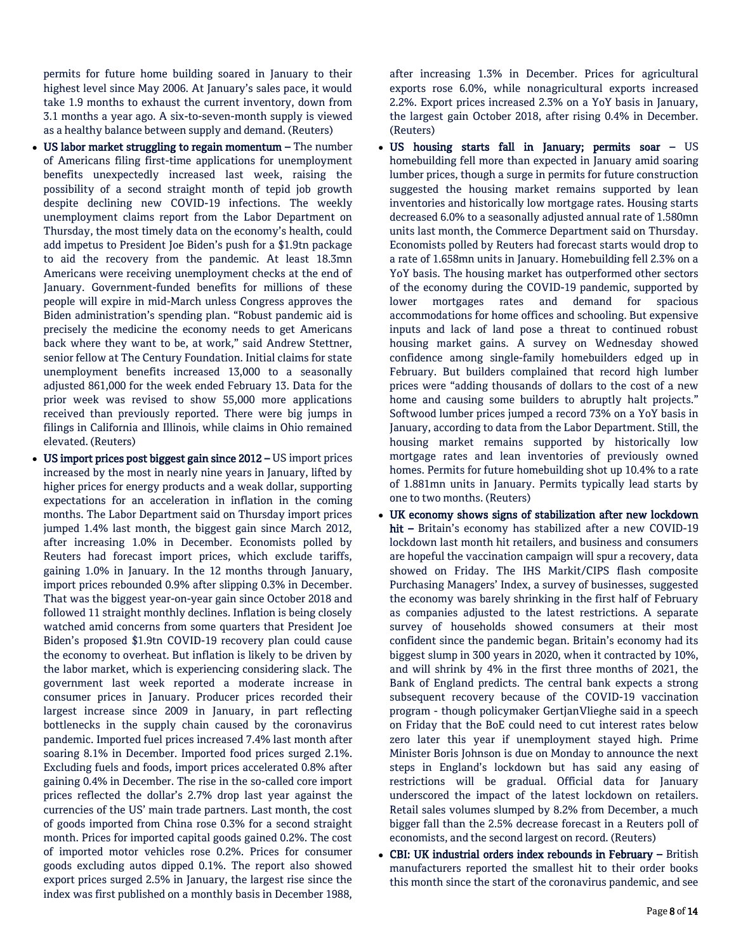permits for future home building soared in January to their highest level since May 2006. At January's sales pace, it would take 1.9 months to exhaust the current inventory, down from 3.1 months a year ago. A six-to-seven-month supply is viewed as a healthy balance between supply and demand. (Reuters)

- US labor market struggling to regain momentum The number of Americans filing first-time applications for unemployment benefits unexpectedly increased last week, raising the possibility of a second straight month of tepid job growth despite declining new COVID-19 infections. The weekly unemployment claims report from the Labor Department on Thursday, the most timely data on the economy's health, could add impetus to President Joe Biden's push for a \$1.9tn package to aid the recovery from the pandemic. At least 18.3mn Americans were receiving unemployment checks at the end of January. Government-funded benefits for millions of these people will expire in mid-March unless Congress approves the Biden administration's spending plan. "Robust pandemic aid is precisely the medicine the economy needs to get Americans back where they want to be, at work," said Andrew Stettner, senior fellow at The Century Foundation. Initial claims for state unemployment benefits increased 13,000 to a seasonally adjusted 861,000 for the week ended February 13. Data for the prior week was revised to show 55,000 more applications received than previously reported. There were big jumps in filings in California and Illinois, while claims in Ohio remained elevated. (Reuters)
- US import prices post biggest gain since 2012 US import prices increased by the most in nearly nine years in January, lifted by higher prices for energy products and a weak dollar, supporting expectations for an acceleration in inflation in the coming months. The Labor Department said on Thursday import prices jumped 1.4% last month, the biggest gain since March 2012, after increasing 1.0% in December. Economists polled by Reuters had forecast import prices, which exclude tariffs, gaining 1.0% in January. In the 12 months through January, import prices rebounded 0.9% after slipping 0.3% in December. That was the biggest year-on-year gain since October 2018 and followed 11 straight monthly declines. Inflation is being closely watched amid concerns from some quarters that President Joe Biden's proposed \$1.9tn COVID-19 recovery plan could cause the economy to overheat. But inflation is likely to be driven by the labor market, which is experiencing considering slack. The government last week reported a moderate increase in consumer prices in January. Producer prices recorded their largest increase since 2009 in January, in part reflecting bottlenecks in the supply chain caused by the coronavirus pandemic. Imported fuel prices increased 7.4% last month after soaring 8.1% in December. Imported food prices surged 2.1%. Excluding fuels and foods, import prices accelerated 0.8% after gaining 0.4% in December. The rise in the so-called core import prices reflected the dollar's 2.7% drop last year against the currencies of the US' main trade partners. Last month, the cost of goods imported from China rose 0.3% for a second straight month. Prices for imported capital goods gained 0.2%. The cost of imported motor vehicles rose 0.2%. Prices for consumer goods excluding autos dipped 0.1%. The report also showed export prices surged 2.5% in January, the largest rise since the index was first published on a monthly basis in December 1988,

after increasing 1.3% in December. Prices for agricultural exports rose 6.0%, while nonagricultural exports increased 2.2%. Export prices increased 2.3% on a YoY basis in January, the largest gain October 2018, after rising 0.4% in December. (Reuters)

- US housing starts fall in January; permits soar US homebuilding fell more than expected in January amid soaring lumber prices, though a surge in permits for future construction suggested the housing market remains supported by lean inventories and historically low mortgage rates. Housing starts decreased 6.0% to a seasonally adjusted annual rate of 1.580mn units last month, the Commerce Department said on Thursday. Economists polled by Reuters had forecast starts would drop to a rate of 1.658mn units in January. Homebuilding fell 2.3% on a YoY basis. The housing market has outperformed other sectors of the economy during the COVID-19 pandemic, supported by lower mortgages rates and demand for spacious accommodations for home offices and schooling. But expensive inputs and lack of land pose a threat to continued robust housing market gains. A survey on Wednesday showed confidence among single-family homebuilders edged up in February. But builders complained that record high lumber prices were "adding thousands of dollars to the cost of a new home and causing some builders to abruptly halt projects." Softwood lumber prices jumped a record 73% on a YoY basis in January, according to data from the Labor Department. Still, the housing market remains supported by historically low mortgage rates and lean inventories of previously owned homes. Permits for future homebuilding shot up 10.4% to a rate of 1.881mn units in January. Permits typically lead starts by one to two months. (Reuters)
- UK economy shows signs of stabilization after new lockdown hit - Britain's economy has stabilized after a new COVID-19 lockdown last month hit retailers, and business and consumers are hopeful the vaccination campaign will spur a recovery, data showed on Friday. The IHS Markit/CIPS flash composite Purchasing Managers' Index, a survey of businesses, suggested the economy was barely shrinking in the first half of February as companies adjusted to the latest restrictions. A separate survey of households showed consumers at their most confident since the pandemic began. Britain's economy had its biggest slump in 300 years in 2020, when it contracted by 10%, and will shrink by 4% in the first three months of 2021, the Bank of England predicts. The central bank expects a strong subsequent recovery because of the COVID-19 vaccination program - though policymaker GertjanVlieghe said in a speech on Friday that the BoE could need to cut interest rates below zero later this year if unemployment stayed high. Prime Minister Boris Johnson is due on Monday to announce the next steps in England's lockdown but has said any easing of restrictions will be gradual. Official data for January underscored the impact of the latest lockdown on retailers. Retail sales volumes slumped by 8.2% from December, a much bigger fall than the 2.5% decrease forecast in a Reuters poll of economists, and the second largest on record. (Reuters)
- CBI: UK industrial orders index rebounds in February British manufacturers reported the smallest hit to their order books this month since the start of the coronavirus pandemic, and see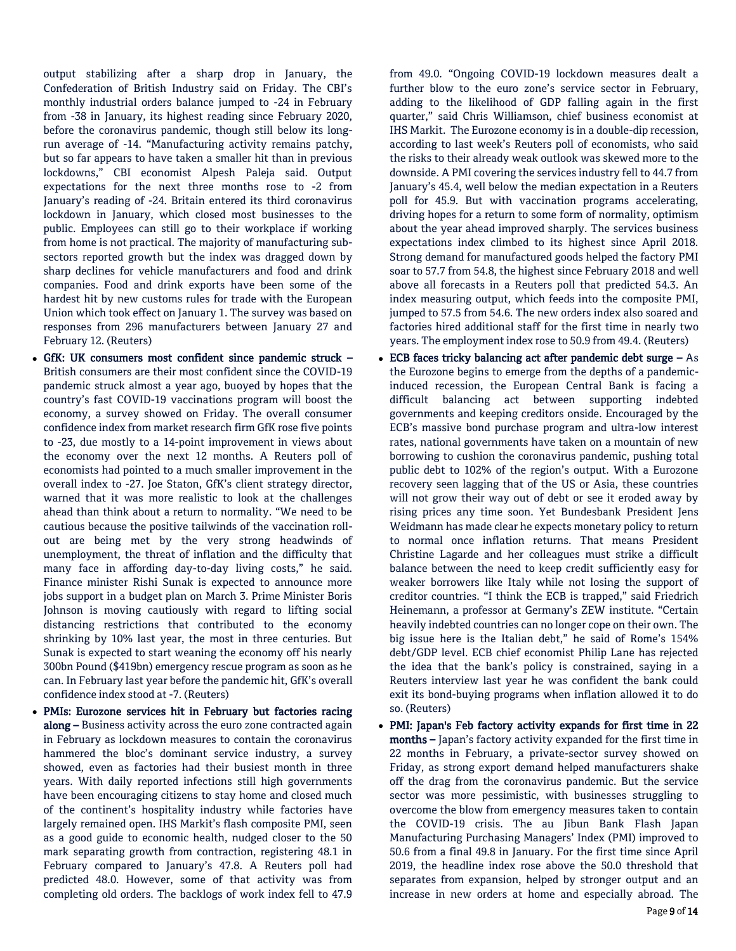output stabilizing after a sharp drop in January, the Confederation of British Industry said on Friday. The CBI's monthly industrial orders balance jumped to -24 in February from -38 in January, its highest reading since February 2020, before the coronavirus pandemic, though still below its longrun average of -14. "Manufacturing activity remains patchy, but so far appears to have taken a smaller hit than in previous lockdowns," CBI economist Alpesh Paleja said. Output expectations for the next three months rose to -2 from January's reading of -24. Britain entered its third coronavirus lockdown in January, which closed most businesses to the public. Employees can still go to their workplace if working from home is not practical. The majority of manufacturing subsectors reported growth but the index was dragged down by sharp declines for vehicle manufacturers and food and drink companies. Food and drink exports have been some of the hardest hit by new customs rules for trade with the European Union which took effect on January 1. The survey was based on responses from 296 manufacturers between January 27 and February 12. (Reuters)

- GfK: UK consumers most confident since pandemic struck British consumers are their most confident since the COVID-19 pandemic struck almost a year ago, buoyed by hopes that the country's fast COVID-19 vaccinations program will boost the economy, a survey showed on Friday. The overall consumer confidence index from market research firm GfK rose five points to -23, due mostly to a 14-point improvement in views about the economy over the next 12 months. A Reuters poll of economists had pointed to a much smaller improvement in the overall index to -27. Joe Staton, GfK's client strategy director, warned that it was more realistic to look at the challenges ahead than think about a return to normality. "We need to be cautious because the positive tailwinds of the vaccination rollout are being met by the very strong headwinds of unemployment, the threat of inflation and the difficulty that many face in affording day-to-day living costs," he said. Finance minister Rishi Sunak is expected to announce more jobs support in a budget plan on March 3. Prime Minister Boris Johnson is moving cautiously with regard to lifting social distancing restrictions that contributed to the economy shrinking by 10% last year, the most in three centuries. But Sunak is expected to start weaning the economy off his nearly 300bn Pound (\$419bn) emergency rescue program as soon as he can. In February last year before the pandemic hit, GfK's overall confidence index stood at -7. (Reuters)
- PMIs: Eurozone services hit in February but factories racing along – Business activity across the euro zone contracted again in February as lockdown measures to contain the coronavirus hammered the bloc's dominant service industry, a survey showed, even as factories had their busiest month in three years. With daily reported infections still high governments have been encouraging citizens to stay home and closed much of the continent's hospitality industry while factories have largely remained open. IHS Markit's flash composite PMI, seen as a good guide to economic health, nudged closer to the 50 mark separating growth from contraction, registering 48.1 in February compared to January's 47.8. A Reuters poll had predicted 48.0. However, some of that activity was from completing old orders. The backlogs of work index fell to 47.9

from 49.0. "Ongoing COVID-19 lockdown measures dealt a further blow to the euro zone's service sector in February, adding to the likelihood of GDP falling again in the first quarter," said Chris Williamson, chief business economist at IHS Markit. The Eurozone economy is in a double-dip recession, according to last week's Reuters poll of economists, who said the risks to their already weak outlook was skewed more to the downside. A PMI covering the services industry fell to 44.7 from January's 45.4, well below the median expectation in a Reuters poll for 45.9. But with vaccination programs accelerating, driving hopes for a return to some form of normality, optimism about the year ahead improved sharply. The services business expectations index climbed to its highest since April 2018. Strong demand for manufactured goods helped the factory PMI soar to 57.7 from 54.8, the highest since February 2018 and well above all forecasts in a Reuters poll that predicted 54.3. An index measuring output, which feeds into the composite PMI, jumped to 57.5 from 54.6. The new orders index also soared and factories hired additional staff for the first time in nearly two years. The employment index rose to 50.9 from 49.4. (Reuters)

- ECB faces tricky balancing act after pandemic debt surge As the Eurozone begins to emerge from the depths of a pandemicinduced recession, the European Central Bank is facing a difficult balancing act between supporting indebted governments and keeping creditors onside. Encouraged by the ECB's massive bond purchase program and ultra-low interest rates, national governments have taken on a mountain of new borrowing to cushion the coronavirus pandemic, pushing total public debt to 102% of the region's output. With a Eurozone recovery seen lagging that of the US or Asia, these countries will not grow their way out of debt or see it eroded away by rising prices any time soon. Yet Bundesbank President Jens Weidmann has made clear he expects monetary policy to return to normal once inflation returns. That means President Christine Lagarde and her colleagues must strike a difficult balance between the need to keep credit sufficiently easy for weaker borrowers like Italy while not losing the support of creditor countries. "I think the ECB is trapped," said Friedrich Heinemann, a professor at Germany's ZEW institute. "Certain heavily indebted countries can no longer cope on their own. The big issue here is the Italian debt," he said of Rome's 154% debt/GDP level. ECB chief economist Philip Lane has rejected the idea that the bank's policy is constrained, saying in a Reuters interview last year he was confident the bank could exit its bond-buying programs when inflation allowed it to do so. (Reuters)
- PMI: Japan's Feb factory activity expands for first time in 22 months – Japan's factory activity expanded for the first time in 22 months in February, a private-sector survey showed on Friday, as strong export demand helped manufacturers shake off the drag from the coronavirus pandemic. But the service sector was more pessimistic, with businesses struggling to overcome the blow from emergency measures taken to contain the COVID-19 crisis. The au Jibun Bank Flash Japan Manufacturing Purchasing Managers' Index (PMI) improved to 50.6 from a final 49.8 in January. For the first time since April 2019, the headline index rose above the 50.0 threshold that separates from expansion, helped by stronger output and an increase in new orders at home and especially abroad. The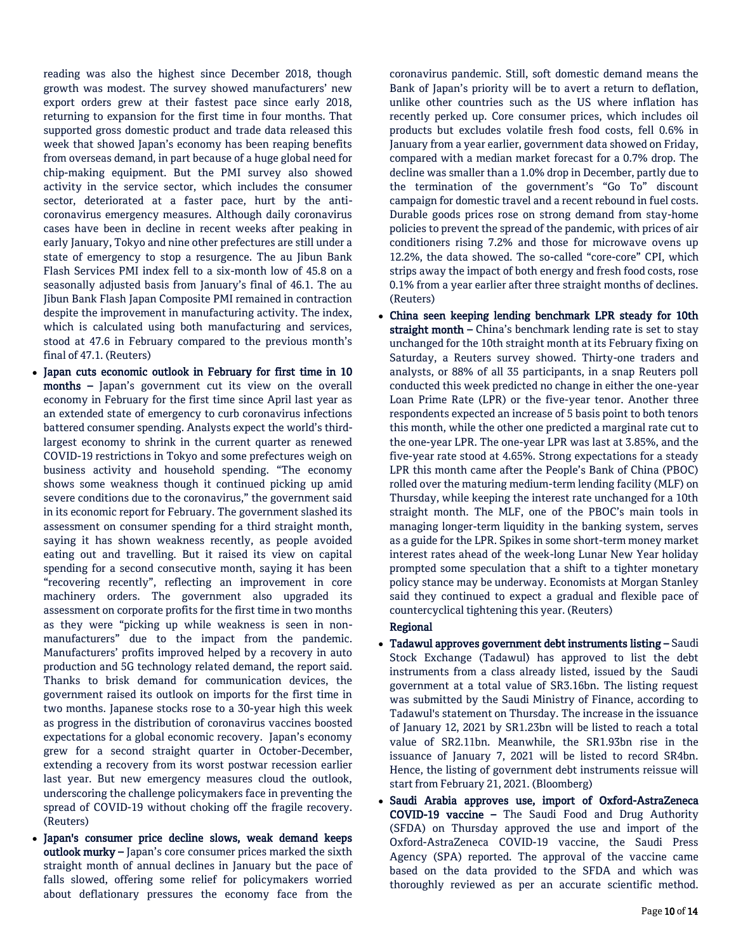reading was also the highest since December 2018, though growth was modest. The survey showed manufacturers' new export orders grew at their fastest pace since early 2018, returning to expansion for the first time in four months. That supported gross domestic product and trade data released this week that showed Japan's economy has been reaping benefits from overseas demand, in part because of a huge global need for chip-making equipment. But the PMI survey also showed activity in the service sector, which includes the consumer sector, deteriorated at a faster pace, hurt by the anticoronavirus emergency measures. Although daily coronavirus cases have been in decline in recent weeks after peaking in early January, Tokyo and nine other prefectures are still under a state of emergency to stop a resurgence. The au Jibun Bank Flash Services PMI index fell to a six-month low of 45.8 on a seasonally adjusted basis from January's final of 46.1. The au Jibun Bank Flash Japan Composite PMI remained in contraction despite the improvement in manufacturing activity. The index, which is calculated using both manufacturing and services, stood at 47.6 in February compared to the previous month's final of 47.1. (Reuters)

- Japan cuts economic outlook in February for first time in 10 months – Japan's government cut its view on the overall economy in February for the first time since April last year as an extended state of emergency to curb coronavirus infections battered consumer spending. Analysts expect the world's thirdlargest economy to shrink in the current quarter as renewed COVID-19 restrictions in Tokyo and some prefectures weigh on business activity and household spending. "The economy shows some weakness though it continued picking up amid severe conditions due to the coronavirus," the government said in its economic report for February. The government slashed its assessment on consumer spending for a third straight month, saying it has shown weakness recently, as people avoided eating out and travelling. But it raised its view on capital spending for a second consecutive month, saying it has been "recovering recently", reflecting an improvement in core machinery orders. The government also upgraded its assessment on corporate profits for the first time in two months as they were "picking up while weakness is seen in nonmanufacturers" due to the impact from the pandemic. Manufacturers' profits improved helped by a recovery in auto production and 5G technology related demand, the report said. Thanks to brisk demand for communication devices, the government raised its outlook on imports for the first time in two months. Japanese stocks rose to a 30-year high this week as progress in the distribution of coronavirus vaccines boosted expectations for a global economic recovery. Japan's economy grew for a second straight quarter in October-December, extending a recovery from its worst postwar recession earlier last year. But new emergency measures cloud the outlook, underscoring the challenge policymakers face in preventing the spread of COVID-19 without choking off the fragile recovery. (Reuters)
- Japan's consumer price decline slows, weak demand keeps outlook murky - Japan's core consumer prices marked the sixth straight month of annual declines in January but the pace of falls slowed, offering some relief for policymakers worried about deflationary pressures the economy face from the

coronavirus pandemic. Still, soft domestic demand means the Bank of Japan's priority will be to avert a return to deflation, unlike other countries such as the US where inflation has recently perked up. Core consumer prices, which includes oil products but excludes volatile fresh food costs, fell 0.6% in January from a year earlier, government data showed on Friday, compared with a median market forecast for a 0.7% drop. The decline was smaller than a 1.0% drop in December, partly due to the termination of the government's "Go To" discount campaign for domestic travel and a recent rebound in fuel costs. Durable goods prices rose on strong demand from stay-home policies to prevent the spread of the pandemic, with prices of air conditioners rising 7.2% and those for microwave ovens up 12.2%, the data showed. The so-called "core-core" CPI, which strips away the impact of both energy and fresh food costs, rose 0.1% from a year earlier after three straight months of declines. (Reuters)

 China seen keeping lending benchmark LPR steady for 10th straight month - China's benchmark lending rate is set to stay unchanged for the 10th straight month at its February fixing on Saturday, a Reuters survey showed. Thirty-one traders and analysts, or 88% of all 35 participants, in a snap Reuters poll conducted this week predicted no change in either the one-year Loan Prime Rate (LPR) or the five-year tenor. Another three respondents expected an increase of 5 basis point to both tenors this month, while the other one predicted a marginal rate cut to the one-year LPR. The one-year LPR was last at 3.85%, and the five-year rate stood at 4.65%. Strong expectations for a steady LPR this month came after the People's Bank of China (PBOC) rolled over the maturing medium-term lending facility (MLF) on Thursday, while keeping the interest rate unchanged for a 10th straight month. The MLF, one of the PBOC's main tools in managing longer-term liquidity in the banking system, serves as a guide for the LPR. Spikes in some short-term money market interest rates ahead of the week-long Lunar New Year holiday prompted some speculation that a shift to a tighter monetary policy stance may be underway. Economists at Morgan Stanley said they continued to expect a gradual and flexible pace of countercyclical tightening this year. (Reuters)

## Regional

- Tadawul approves government debt instruments listing Saudi Stock Exchange (Tadawul) has approved to list the debt instruments from a class already listed, issued by the Saudi government at a total value of SR3.16bn. The listing request was submitted by the Saudi Ministry of Finance, according to Tadawul's statement on Thursday. The increase in the issuance of January 12, 2021 by SR1.23bn will be listed to reach a total value of SR2.11bn. Meanwhile, the SR1.93bn rise in the issuance of January 7, 2021 will be listed to record SR4bn. Hence, the listing of government debt instruments reissue will start from February 21, 2021. (Bloomberg)
- Saudi Arabia approves use, import of Oxford-AstraZeneca COVID-19 vaccine – The Saudi Food and Drug Authority (SFDA) on Thursday approved the use and import of the Oxford-AstraZeneca COVID-19 vaccine, the Saudi Press Agency (SPA) reported. The approval of the vaccine came based on the data provided to the SFDA and which was thoroughly reviewed as per an accurate scientific method.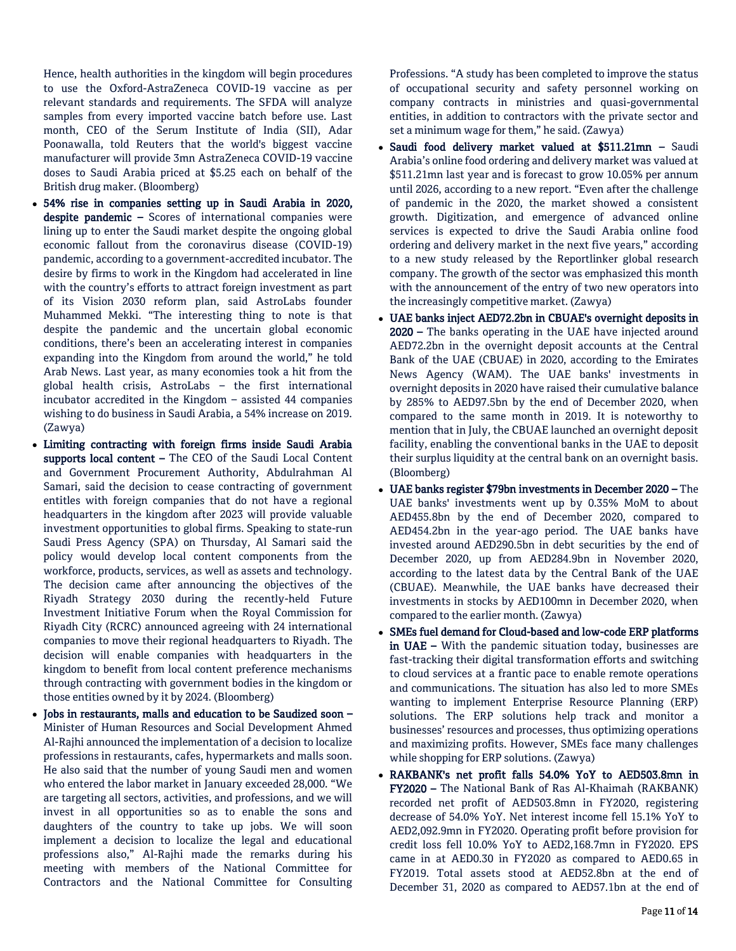Hence, health authorities in the kingdom will begin procedures to use the Oxford-AstraZeneca COVID-19 vaccine as per relevant standards and requirements. The SFDA will analyze samples from every imported vaccine batch before use. Last month, CEO of the Serum Institute of India (SII), Adar Poonawalla, told Reuters that the world's biggest vaccine manufacturer will provide 3mn AstraZeneca COVID-19 vaccine doses to Saudi Arabia priced at \$5.25 each on behalf of the British drug maker. (Bloomberg)

- 54% rise in companies setting up in Saudi Arabia in 2020, despite pandemic - Scores of international companies were lining up to enter the Saudi market despite the ongoing global economic fallout from the coronavirus disease (COVID-19) pandemic, according to a government-accredited incubator. The desire by firms to work in the Kingdom had accelerated in line with the country's efforts to attract foreign investment as part of its Vision 2030 reform plan, said AstroLabs founder Muhammed Mekki. "The interesting thing to note is that despite the pandemic and the uncertain global economic conditions, there's been an accelerating interest in companies expanding into the Kingdom from around the world," he told Arab News. Last year, as many economies took a hit from the global health crisis, AstroLabs – the first international incubator accredited in the Kingdom – assisted 44 companies wishing to do business in Saudi Arabia, a 54% increase on 2019. (Zawya)
- Limiting contracting with foreign firms inside Saudi Arabia supports local content – The CEO of the Saudi Local Content and Government Procurement Authority, Abdulrahman Al Samari, said the decision to cease contracting of government entitles with foreign companies that do not have a regional headquarters in the kingdom after 2023 will provide valuable investment opportunities to global firms. Speaking to state-run Saudi Press Agency (SPA) on Thursday, Al Samari said the policy would develop local content components from the workforce, products, services, as well as assets and technology. The decision came after announcing the objectives of the Riyadh Strategy 2030 during the recently-held Future Investment Initiative Forum when the Royal Commission for Riyadh City (RCRC) announced agreeing with 24 international companies to move their regional headquarters to Riyadh. The decision will enable companies with headquarters in the kingdom to benefit from local content preference mechanisms through contracting with government bodies in the kingdom or those entities owned by it by 2024. (Bloomberg)
- Jobs in restaurants, malls and education to be Saudized soon -Minister of Human Resources and Social Development Ahmed Al-Rajhi announced the implementation of a decision to localize professions in restaurants, cafes, hypermarkets and malls soon. He also said that the number of young Saudi men and women who entered the labor market in January exceeded 28,000. "We are targeting all sectors, activities, and professions, and we will invest in all opportunities so as to enable the sons and daughters of the country to take up jobs. We will soon implement a decision to localize the legal and educational professions also," Al-Rajhi made the remarks during his meeting with members of the National Committee for Contractors and the National Committee for Consulting

Professions. "A study has been completed to improve the status of occupational security and safety personnel working on company contracts in ministries and quasi-governmental entities, in addition to contractors with the private sector and set a minimum wage for them," he said. (Zawya)

- Saudi food delivery market valued at \$511.21mn Saudi Arabia's online food ordering and delivery market was valued at \$511.21mn last year and is forecast to grow 10.05% per annum until 2026, according to a new report. "Even after the challenge of pandemic in the 2020, the market showed a consistent growth. Digitization, and emergence of advanced online services is expected to drive the Saudi Arabia online food ordering and delivery market in the next five years," according to a new study released by the Reportlinker global research company. The growth of the sector was emphasized this month with the announcement of the entry of two new operators into the increasingly competitive market. (Zawya)
- UAE banks inject AED72.2bn in CBUAE's overnight deposits in 2020 – The banks operating in the UAE have injected around AED72.2bn in the overnight deposit accounts at the Central Bank of the UAE (CBUAE) in 2020, according to the Emirates News Agency (WAM). The UAE banks' investments in overnight deposits in 2020 have raised their cumulative balance by 285% to AED97.5bn by the end of December 2020, when compared to the same month in 2019. It is noteworthy to mention that in July, the CBUAE launched an overnight deposit facility, enabling the conventional banks in the UAE to deposit their surplus liquidity at the central bank on an overnight basis. (Bloomberg)
- UAE banks register \$79bn investments in December 2020 The UAE banks' investments went up by 0.35% MoM to about AED455.8bn by the end of December 2020, compared to AED454.2bn in the year-ago period. The UAE banks have invested around AED290.5bn in debt securities by the end of December 2020, up from AED284.9bn in November 2020, according to the latest data by the Central Bank of the UAE (CBUAE). Meanwhile, the UAE banks have decreased their investments in stocks by AED100mn in December 2020, when compared to the earlier month. (Zawya)
- SMEs fuel demand for Cloud-based and low-code ERP platforms in UAE – With the pandemic situation today, businesses are fast-tracking their digital transformation efforts and switching to cloud services at a frantic pace to enable remote operations and communications. The situation has also led to more SMEs wanting to implement Enterprise Resource Planning (ERP) solutions. The ERP solutions help track and monitor a businesses' resources and processes, thus optimizing operations and maximizing profits. However, SMEs face many challenges while shopping for ERP solutions. (Zawya)
- RAKBANK's net profit falls 54.0% YoY to AED503.8mn in FY2020 – The National Bank of Ras Al-Khaimah (RAKBANK) recorded net profit of AED503.8mn in FY2020, registering decrease of 54.0% YoY. Net interest income fell 15.1% YoY to AED2,092.9mn in FY2020. Operating profit before provision for credit loss fell 10.0% YoY to AED2,168.7mn in FY2020. EPS came in at AED0.30 in FY2020 as compared to AED0.65 in FY2019. Total assets stood at AED52.8bn at the end of December 31, 2020 as compared to AED57.1bn at the end of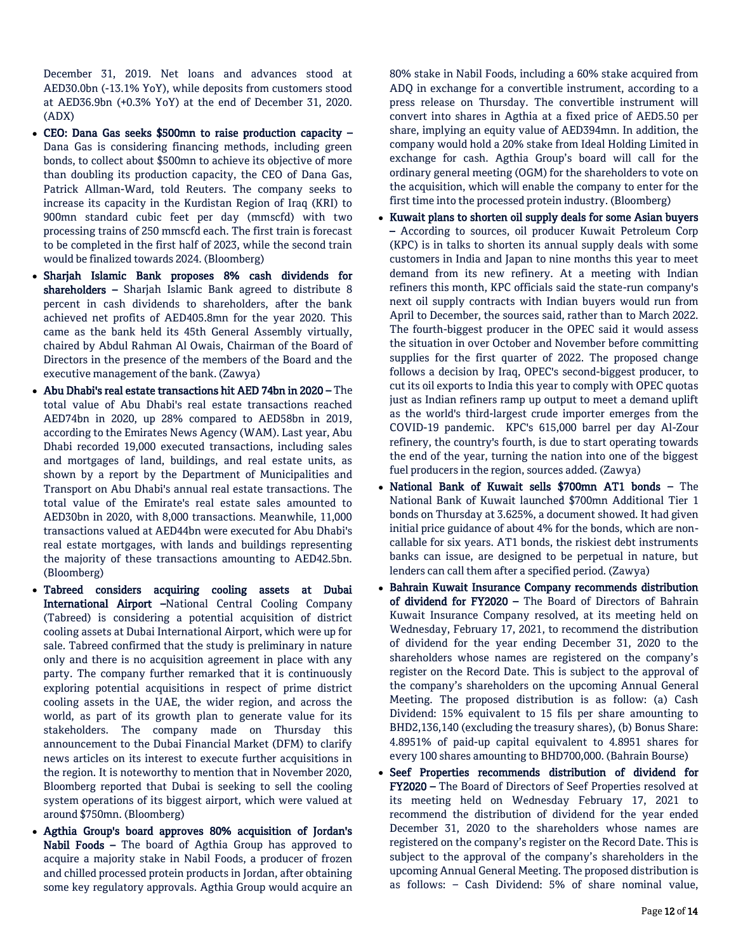December 31, 2019. Net loans and advances stood at AED30.0bn (-13.1% YoY), while deposits from customers stood at AED36.9bn (+0.3% YoY) at the end of December 31, 2020. (ADX)

- CEO: Dana Gas seeks \$500mn to raise production capacity Dana Gas is considering financing methods, including green bonds, to collect about \$500mn to achieve its objective of more than doubling its production capacity, the CEO of Dana Gas, Patrick Allman-Ward, told Reuters. The company seeks to increase its capacity in the Kurdistan Region of Iraq (KRI) to 900mn standard cubic feet per day (mmscfd) with two processing trains of 250 mmscfd each. The first train is forecast to be completed in the first half of 2023, while the second train would be finalized towards 2024. (Bloomberg)
- Sharjah Islamic Bank proposes 8% cash dividends for shareholders - Sharjah Islamic Bank agreed to distribute 8 percent in cash dividends to shareholders, after the bank achieved net profits of AED405.8mn for the year 2020. This came as the bank held its 45th General Assembly virtually, chaired by Abdul Rahman Al Owais, Chairman of the Board of Directors in the presence of the members of the Board and the executive management of the bank. (Zawya)
- Abu Dhabi's real estate transactions hit AED 74bn in 2020 The total value of Abu Dhabi's real estate transactions reached AED74bn in 2020, up 28% compared to AED58bn in 2019, according to the Emirates News Agency (WAM). Last year, Abu Dhabi recorded 19,000 executed transactions, including sales and mortgages of land, buildings, and real estate units, as shown by a report by the Department of Municipalities and Transport on Abu Dhabi's annual real estate transactions. The total value of the Emirate's real estate sales amounted to AED30bn in 2020, with 8,000 transactions. Meanwhile, 11,000 transactions valued at AED44bn were executed for Abu Dhabi's real estate mortgages, with lands and buildings representing the majority of these transactions amounting to AED42.5bn. (Bloomberg)
- Tabreed considers acquiring cooling assets at Dubai International Airport –National Central Cooling Company (Tabreed) is considering a potential acquisition of district cooling assets at Dubai International Airport, which were up for sale. Tabreed confirmed that the study is preliminary in nature only and there is no acquisition agreement in place with any party. The company further remarked that it is continuously exploring potential acquisitions in respect of prime district cooling assets in the UAE, the wider region, and across the world, as part of its growth plan to generate value for its stakeholders. The company made on Thursday this announcement to the Dubai Financial Market (DFM) to clarify news articles on its interest to execute further acquisitions in the region. It is noteworthy to mention that in November 2020, Bloomberg reported that Dubai is seeking to sell the cooling system operations of its biggest airport, which were valued at around \$750mn. (Bloomberg)
- Agthia Group's board approves 80% acquisition of Jordan's Nabil Foods – The board of Agthia Group has approved to acquire a majority stake in Nabil Foods, a producer of frozen and chilled processed protein products in Jordan, after obtaining some key regulatory approvals. Agthia Group would acquire an

80% stake in Nabil Foods, including a 60% stake acquired from ADQ in exchange for a convertible instrument, according to a press release on Thursday. The convertible instrument will convert into shares in Agthia at a fixed price of AED5.50 per share, implying an equity value of AED394mn. In addition, the company would hold a 20% stake from Ideal Holding Limited in exchange for cash. Agthia Group's board will call for the ordinary general meeting (OGM) for the shareholders to vote on the acquisition, which will enable the company to enter for the first time into the processed protein industry. (Bloomberg)

- Kuwait plans to shorten oil supply deals for some Asian buyers – According to sources, oil producer Kuwait Petroleum Corp (KPC) is in talks to shorten its annual supply deals with some customers in India and Japan to nine months this year to meet demand from its new refinery. At a meeting with Indian refiners this month, KPC officials said the state-run company's next oil supply contracts with Indian buyers would run from April to December, the sources said, rather than to March 2022. The fourth-biggest producer in the OPEC said it would assess the situation in over October and November before committing supplies for the first quarter of 2022. The proposed change follows a decision by Iraq, OPEC's second-biggest producer, to cut its oil exports to India this year to comply with OPEC quotas just as Indian refiners ramp up output to meet a demand uplift as the world's third-largest crude importer emerges from the COVID-19 pandemic. KPC's 615,000 barrel per day Al-Zour refinery, the country's fourth, is due to start operating towards the end of the year, turning the nation into one of the biggest fuel producers in the region, sources added. (Zawya)
- National Bank of Kuwait sells \$700mn AT1 bonds The National Bank of Kuwait launched \$700mn Additional Tier 1 bonds on Thursday at 3.625%, a document showed. It had given initial price guidance of about 4% for the bonds, which are noncallable for six years. AT1 bonds, the riskiest debt instruments banks can issue, are designed to be perpetual in nature, but lenders can call them after a specified period. (Zawya)
- Bahrain Kuwait Insurance Company recommends distribution of dividend for FY2020 – The Board of Directors of Bahrain Kuwait Insurance Company resolved, at its meeting held on Wednesday, February 17, 2021, to recommend the distribution of dividend for the year ending December 31, 2020 to the shareholders whose names are registered on the company's register on the Record Date. This is subject to the approval of the company's shareholders on the upcoming Annual General Meeting. The proposed distribution is as follow: (a) Cash Dividend: 15% equivalent to 15 fils per share amounting to BHD2,136,140 (excluding the treasury shares), (b) Bonus Share: 4.8951% of paid-up capital equivalent to 4.8951 shares for every 100 shares amounting to BHD700,000. (Bahrain Bourse)
- Seef Properties recommends distribution of dividend for FY2020 – The Board of Directors of Seef Properties resolved at its meeting held on Wednesday February 17, 2021 to recommend the distribution of dividend for the year ended December 31, 2020 to the shareholders whose names are registered on the company's register on the Record Date. This is subject to the approval of the company's shareholders in the upcoming Annual General Meeting. The proposed distribution is as follows: – Cash Dividend: 5% of share nominal value,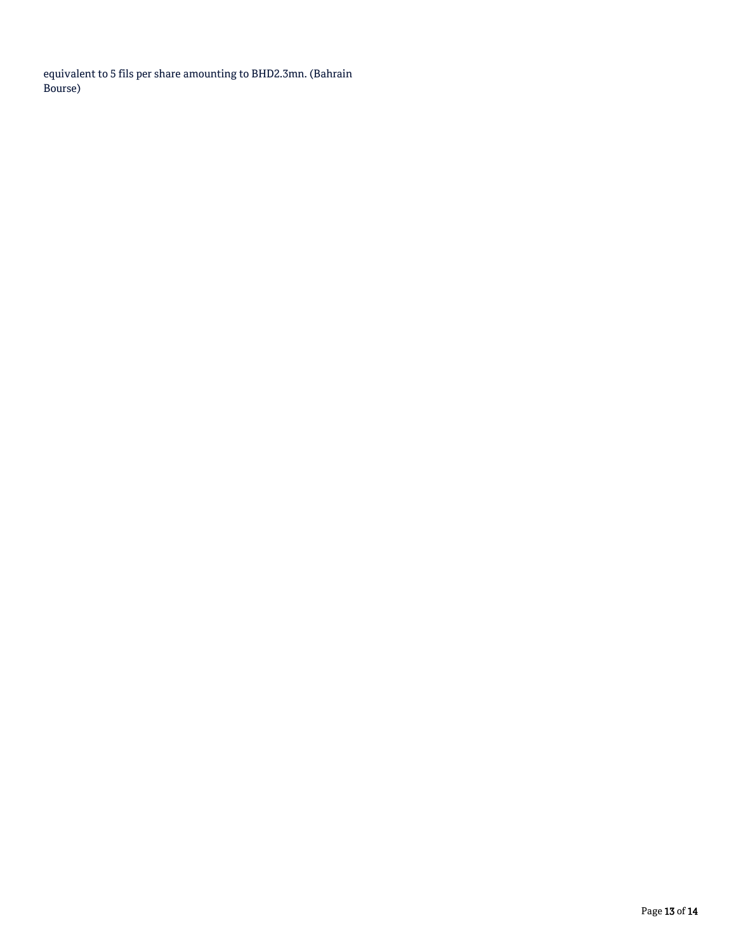equivalent to 5 fils per share amounting to BHD2.3mn. (Bahrain Bourse)